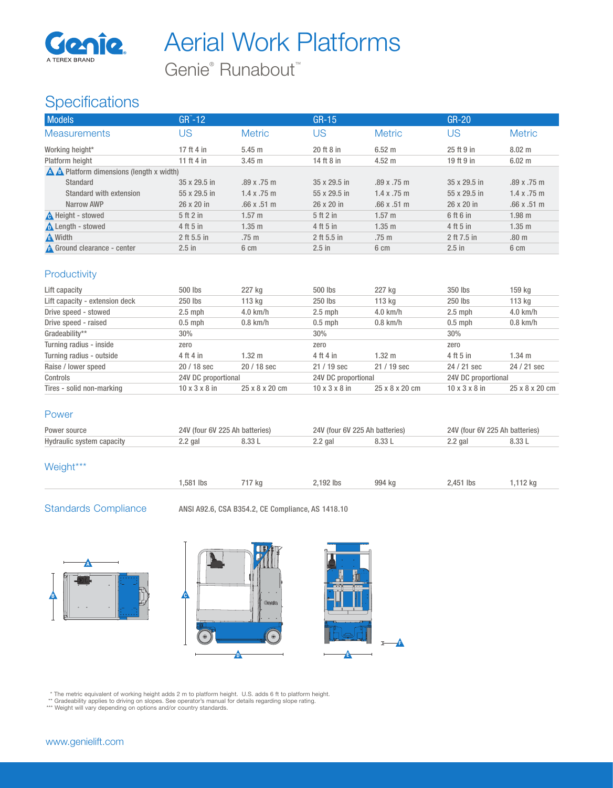

Aerial Work Platforms

Genie<sup>®</sup> Runabout<sup>™</sup>

# **Specifications**

| <b>Models</b>                                                | $GR^{\sim}$ -12   |                    | $GR-15$           |                    | $GR-20$      |                  |
|--------------------------------------------------------------|-------------------|--------------------|-------------------|--------------------|--------------|------------------|
| <b>Measurements</b>                                          | US                | <b>Metric</b>      | US                | <b>Metric</b>      | JS           | <b>Metric</b>    |
| Working height*                                              | 17 ft 4 in        | $5.45$ m           | 20 ft 8 in        | $6.52 \text{ m}$   | 25 ft 9 in   | $8.02 \text{ m}$ |
| Platform height                                              | 11 ft 4 in        | $3.45$ m           | 14 ft 8 in        | $4.52 \text{ m}$   | 19 ft 9 in   | $6.02 \text{ m}$ |
| $\triangle$ $\triangle$ Platform dimensions (length x width) |                   |                    |                   |                    |              |                  |
| Standard                                                     | 35 x 29.5 in      | .89x.75m           | 35 x 29.5 in      | .89x.75m           | 35 x 29.5 in | .89 x .75 m      |
| Standard with extension                                      | 55 x 29.5 in      | $1.4 \times .75$ m | 55 x 29.5 in      | $1.4 \times .75$ m | 55 x 29.5 in | 1.4 x .75 m      |
| Narrow AWP                                                   | $26 \times 20$ in | .66x.51m           | $26 \times 20$ in | .66x.51m           | 26 x 20 in   | .66x.51m         |
| <b>A</b> Height - stowed                                     | 5ft2in            | $1.57 \;{\rm m}$   | 5ft2in            | $1.57 \text{ m}$   | 6 ft 6 in    | $1.98$ m         |
| Length - stowed                                              | 4 ft 5 in         | $1.35$ m           | 4 ft 5 in         | $1.35$ m           | 4 ft 5 in    | $1.35$ m         |
| A Width                                                      | 2 ft 5.5 in       | $.75 \text{ m}$    | 2 ft 5.5 in       | .75 <sub>m</sub>   | 2 ft 7.5 in  | .80 <sub>m</sub> |
| A Ground clearance - center                                  | $2.5$ in          | 6 cm               | $2.5$ in          | 6 cm               | $2.5$ in     | 6 cm             |

# **Productivity**

| Lift capacity                  | 500 lbs                   | 227 kg         | 500 lbs                   | 227 kg         | 350 lbs                   | 159 kg           |
|--------------------------------|---------------------------|----------------|---------------------------|----------------|---------------------------|------------------|
| Lift capacity - extension deck | 250 lbs                   | 113 kg         | 250 lbs                   | 113 kg         | 250 lbs                   | 113 kg           |
| Drive speed - stowed           | $2.5$ mph                 | $4.0$ km/h     | $2.5$ mph                 | $4.0$ km/h     | $2.5$ mph                 | $4.0$ km/h       |
| Drive speed - raised           | $0.5$ mph                 | $0.8$ km/h     | $0.5$ mph                 | $0.8$ km/h     | $0.5$ mph                 | $0.8$ km/h       |
| Gradeability**                 | 30%                       |                | 30%                       |                | 30%                       |                  |
| Turning radius - inside        | zero                      |                | zero                      |                | zero                      |                  |
| Turning radius - outside       | 4 ft 4 in                 | $1.32 \; m$    | 4 ft 4 in                 | 1.32 m         | 4 ft 5 in                 | $1.34 \text{ m}$ |
| Raise / lower speed            | 20 / 18 sec               | $20/18$ sec    | $21/19$ sec               | $21/19$ sec    | 24 / 21 sec               | 24 / 21 sec      |
| Controls                       | 24V DC proportional       |                | 24V DC proportional       |                | 24V DC proportional       |                  |
| Tires - solid non-marking      | $10 \times 3 \times 8$ in | 25 x 8 x 20 cm | $10 \times 3 \times 8$ in | 25 x 8 x 20 cm | $10 \times 3 \times 8$ in | 25 x 8 x 20 cm   |

#### Power

| Power source              | <b>batteries</b><br>24V (four 6V)<br>ノソヘ ハド |      | Δh<br>batteries.<br>$f$ our |  | 24V (four 6V 225<br>Ah hatteries. |     |
|---------------------------|---------------------------------------------|------|-----------------------------|--|-----------------------------------|-----|
| Hydraulic system capacity | 2.2 gal                                     | 1.33 | ∠.2 qal                     |  | 2 gai                             | .33 |

# Weight\*\*\*

| i,581 lbs | $\sqrt{2}$ kg | .,192 lbs | 994 kg | 2,451 lbs | 112 kg |  |
|-----------|---------------|-----------|--------|-----------|--------|--|

-A

Standards Compliance ANSI A92.6, CSA B354.2, CE Compliance, AS 1418.10





\* The metric equivalent of working height adds 2 m to platform height. U.S. adds 6 ft to platform height.<br>\*\* Gradeability applies to driving on slopes. See operator's manual for details regarding slope rating.<br>\*\*\* Weight w